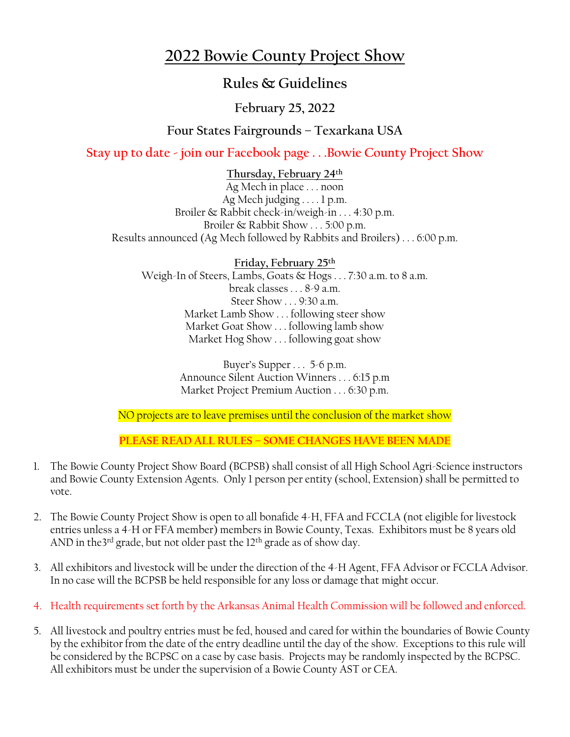## **2022 Bowie County Project Show**

## **Rules & Guidelines**

## **February 25, 2022**

### **Four States Fairgrounds – Texarkana USA**

**Stay up to date - join our Facebook page . . .Bowie County Project Show**

**Thursday, February 24 th** Ag Mech in place . . . noon Ag Mech judging . . . . 1 p.m. Broiler & Rabbit check-in/weigh-in . . . 4:30 p.m. Broiler & Rabbit Show . . . 5:00 p.m. Results announced (Ag Mech followed by Rabbits and Broilers) . . . 6:00 p.m.

**Friday, February 25 th** Weigh-In of Steers, Lambs, Goats & Hogs . . . 7:30 a.m. to 8 a.m. break classes . . . 8-9 a.m. Steer Show . . . 9:30 a.m. Market Lamb Show . . . following steer show Market Goat Show . . . following lamb show Market Hog Show . . . following goat show

> Buyer's Supper . . . 5-6 p.m. Announce Silent Auction Winners . . . 6:15 p.m Market Project Premium Auction . . . 6:30 p.m.

NO projects are to leave premises until the conclusion of the market show

**PLEASE READ ALL RULES – SOME CHANGES HAVE BEEN MADE**

- 1. The Bowie County Project Show Board (BCPSB) shall consist of all High School Agri-Science instructors and Bowie County Extension Agents. Only 1 person per entity (school, Extension) shall be permitted to vote.
- 2. The Bowie County Project Show is open to all bonafide 4-H, FFA and FCCLA (not eligible for livestock entries unless a 4-H or FFA member) members in Bowie County, Texas. Exhibitors must be 8 years old AND in the3<sup>rd</sup> grade, but not older past the 12<sup>th</sup> grade as of show day.
- 3. All exhibitors and livestock will be under the direction of the 4-H Agent, FFA Advisor or FCCLA Advisor. In no case will the BCPSB be held responsible for any loss or damage that might occur.
- 4. Health requirements set forth by the Arkansas Animal Health Commission will be followed and enforced.
- 5. All livestock and poultry entries must be fed, housed and cared for within the boundaries of Bowie County by the exhibitor from the date of the entry deadline until the day of the show. Exceptions to this rule will be considered by the BCPSC on a case by case basis. Projects may be randomly inspected by the BCPSC. All exhibitors must be under the supervision of a Bowie County AST or CEA.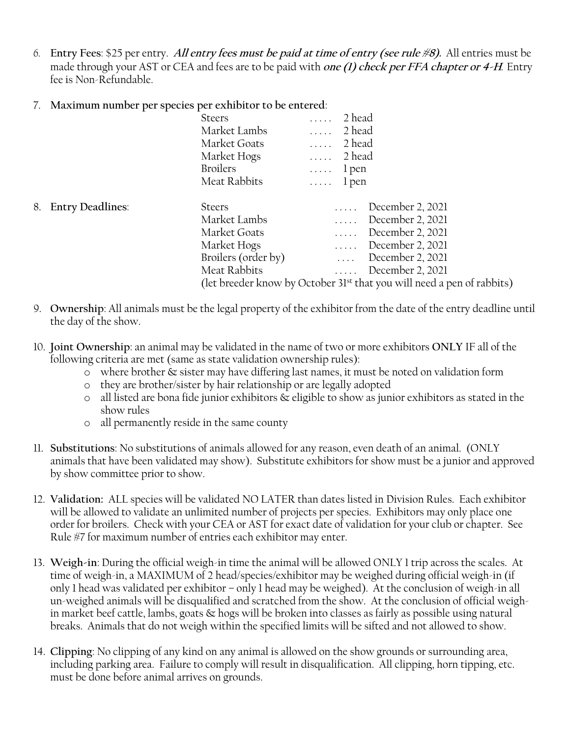*6.* **Entry Fees**: \$25 per entry. **All entry fees must be paid at time of entry (see rule #8).** All entries must be made through your AST or CEA and fees are to be paid with **one (1) check per FFA chapter or 4-H***.* Entry fee is Non-Refundable.

#### 7. **Maximum number per species per exhibitor to be entered**:

|                     | <b>Steers</b>       | 2 head<br>$\mathbb{R}^2$ . In the $\mathbb{R}^2$                                   |
|---------------------|---------------------|------------------------------------------------------------------------------------|
|                     | Market Lambs        | 2 head<br>$\mathbf{1}$                                                             |
|                     | Market Goats        | 2 head<br>$\mathbb{R}^2$ . In the $\mathbb{R}^2$                                   |
|                     | Market Hogs         | $\ldots$ 2 head                                                                    |
|                     | <b>Broilers</b>     | $\ldots$ l pen                                                                     |
|                     | Meat Rabbits        | $\ldots$ l pen                                                                     |
| 8. Entry Deadlines: | <b>Steers</b>       | December 2, 2021<br>$\ldots$                                                       |
|                     | Market Lambs        | December 2, 2021<br>$\mathbb{R}^2$ . In the $\mathbb{R}^2$                         |
|                     | Market Goats        | December 2, 2021<br>$\mathbb{R}^2$ . In the $\mathbb{R}^2$                         |
|                     | Market Hogs         | December 2, 2021<br>$\mathbf{1}$                                                   |
|                     | Broilers (order by) | December 2, 2021<br>$\mathbf{1}$ . The set                                         |
|                     | Meat Rabbits        | December 2, 2021<br>$\ldots$ .                                                     |
|                     |                     | (let breeder know by October 31 <sup>st</sup> that you will need a pen of rabbits) |

- 9. **Ownership**: All animals must be the legal property of the exhibitor from the date of the entry deadline until the day of the show.
- 10. **Joint Ownership**: an animal may be validated in the name of two or more exhibitors **ONLY** IF all of the following criteria are met (same as state validation ownership rules):
	- o where brother & sister may have differing last names, it must be noted on validation form
	- o they are brother/sister by hair relationship or are legally adopted
	- $\circ$  all listed are bona fide junior exhibitors  $\&$  eligible to show as junior exhibitors as stated in the show rules
	- o all permanently reside in the same county
- 11. **Substitutions**: No substitutions of animals allowed for any reason, even death of an animal. (ONLY animals that have been validated may show). Substitute exhibitors for show must be a junior and approved by show committee prior to show.
- 12. **Validation:** ALL species will be validated NO LATER than dates listed in Division Rules. Each exhibitor will be allowed to validate an unlimited number of projects per species. Exhibitors may only place one order for broilers. Check with your CEA or AST for exact date of validation for your club or chapter. See Rule #7 for maximum number of entries each exhibitor may enter.
- 13. **Weigh-in**: During the official weigh-in time the animal will be allowed ONLY 1 trip across the scales. At time of weigh-in, a MAXIMUM of 2 head/species/exhibitor may be weighed during official weigh-in (if only 1 head was validated per exhibitor – only 1 head may be weighed). At the conclusion of weigh-in all un-weighed animals will be disqualified and scratched from the show. At the conclusion of official weighin market beef cattle, lambs, goats & hogs will be broken into classes as fairly as possible using natural breaks. Animals that do not weigh within the specified limits will be sifted and not allowed to show.
- 14. **Clipping**: No clipping of any kind on any animal is allowed on the show grounds or surrounding area, including parking area. Failure to comply will result in disqualification. All clipping, horn tipping, etc. must be done before animal arrives on grounds.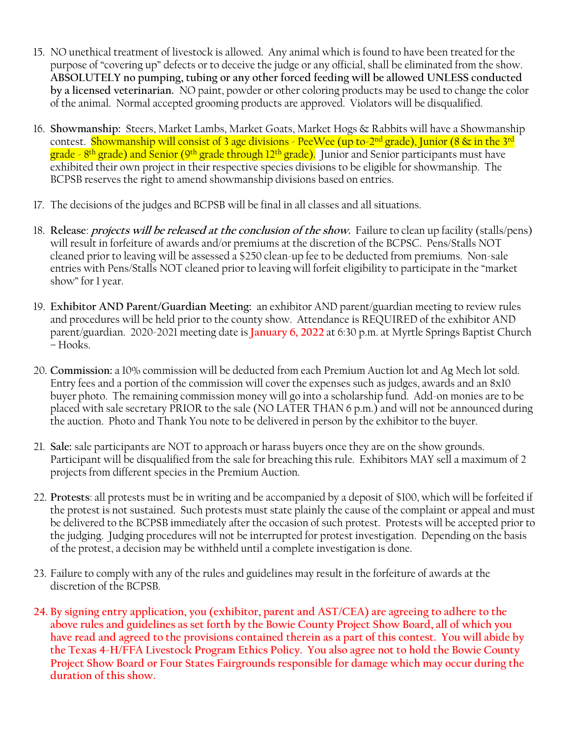- 15. NO unethical treatment of livestock is allowed. Any animal which is found to have been treated for the purpose of "covering up" defects or to deceive the judge or any official, shall be eliminated from the show. **ABSOLUTELY no pumping, tubing or any other forced feeding will be allowed UNLESS conducted by a licensed veterinarian.** NO paint, powder or other coloring products may be used to change the color of the animal. Normal accepted grooming products are approved. Violators will be disqualified.
- 16. **Showmanship:** Steers, Market Lambs, Market Goats, Market Hogs & Rabbits will have a Showmanship contest. <mark>Showmanship will consist of 3 age divisions - PeeWee (up to-2<sup>nd</sup> grade), Junior (8 & in the 3<sup>rd</sup></mark> grade - 8<sup>th</sup> grade) and Senior (9<sup>th</sup> grade through 12<sup>th</sup> grade). Junior and Senior participants must have exhibited their own project in their respective species divisions to be eligible for showmanship. The BCPSB reserves the right to amend showmanship divisions based on entries.
- 17. The decisions of the judges and BCPSB will be final in all classes and all situations.
- 18. **Release**: **projects will be released at the conclusion of the show.** Failure to clean up facility (stalls/pens) will result in forfeiture of awards and/or premiums at the discretion of the BCPSC. Pens/Stalls NOT cleaned prior to leaving will be assessed a \$250 clean-up fee to be deducted from premiums. Non-sale entries with Pens/Stalls NOT cleaned prior to leaving will forfeit eligibility to participate in the "market show" for 1 year.
- 19. **Exhibitor AND Parent/Guardian Meeting:** an exhibitor AND parent/guardian meeting to review rules and procedures will be held prior to the county show. Attendance is REQUIRED of the exhibitor AND parent/guardian. 2020-2021 meeting date is **January 6, 2022** at 6:30 p.m. at Myrtle Springs Baptist Church – Hooks.
- 20. **Commission:** a 10% commission will be deducted from each Premium Auction lot and Ag Mech lot sold. Entry fees and a portion of the commission will cover the expenses such as judges, awards and an 8x10 buyer photo. The remaining commission money will go into a scholarship fund. Add-on monies are to be placed with sale secretary PRIOR to the sale (NO LATER THAN 6 p.m.) and will not be announced during the auction. Photo and Thank You note to be delivered in person by the exhibitor to the buyer.
- 21. **Sale:** sale participants are NOT to approach or harass buyers once they are on the show grounds. Participant will be disqualified from the sale for breaching this rule. Exhibitors MAY sell a maximum of 2 projects from different species in the Premium Auction.
- 22. **Protests**: all protests must be in writing and be accompanied by a deposit of \$100, which will be forfeited if the protest is not sustained. Such protests must state plainly the cause of the complaint or appeal and must be delivered to the BCPSB immediately after the occasion of such protest. Protests will be accepted prior to the judging. Judging procedures will not be interrupted for protest investigation. Depending on the basis of the protest, a decision may be withheld until a complete investigation is done.
- 23. Failure to comply with any of the rules and guidelines may result in the forfeiture of awards at the discretion of the BCPSB.
- **24. By signing entry application, you (exhibitor, parent and AST/CEA) are agreeing to adhere to the above rules and guidelines as set forth by the Bowie County Project Show Board, all of which you have read and agreed to the provisions contained therein as a part of this contest. You will abide by the Texas 4-H/FFA Livestock Program Ethics Policy. You also agree not to hold the Bowie County Project Show Board or Four States Fairgrounds responsible for damage which may occur during the duration of this show.**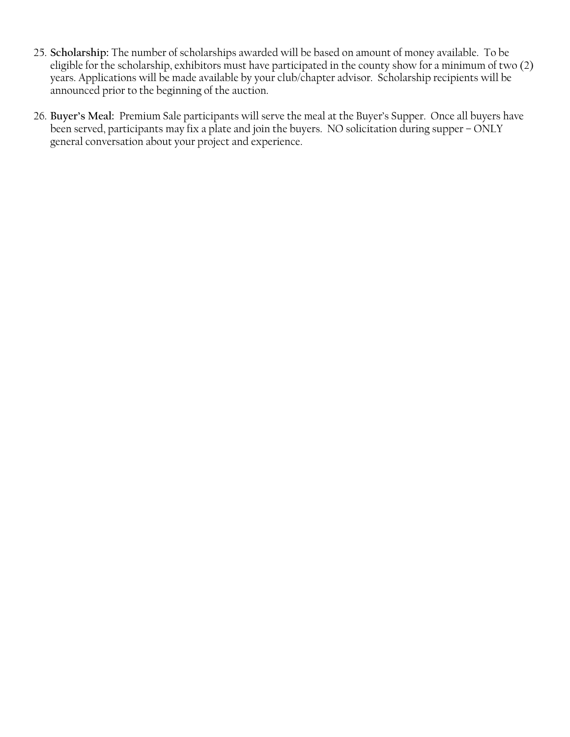- 25. **Scholarship:** The number of scholarships awarded will be based on amount of money available. To be eligible for the scholarship, exhibitors must have participated in the county show for a minimum of two (2) years. Applications will be made available by your club/chapter advisor. Scholarship recipients will be announced prior to the beginning of the auction.
- 26. **Buyer's Meal:** Premium Sale participants will serve the meal at the Buyer's Supper. Once all buyers have been served, participants may fix a plate and join the buyers. NO solicitation during supper – ONLY general conversation about your project and experience.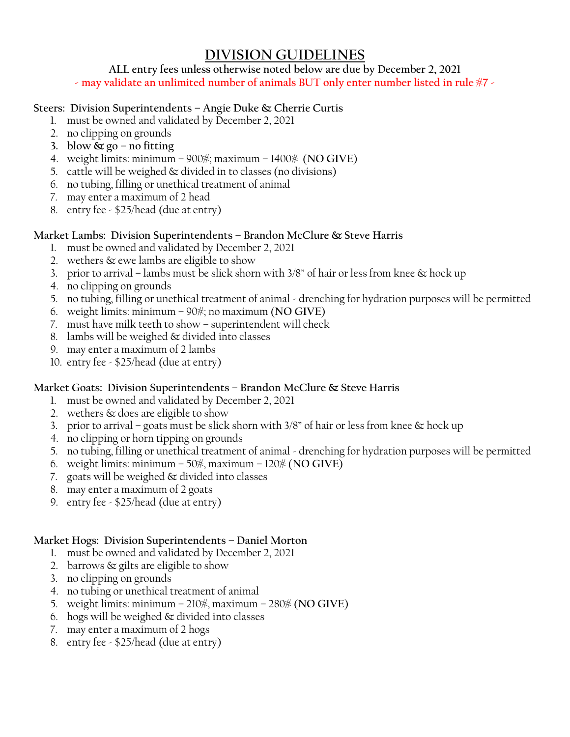## **DIVISION GUIDELINES**

#### **ALL entry fees unless otherwise noted below are due by December 2, 2021**

**- may validate an unlimited number of animals BUT only enter number listed in rule #7 -**

#### **Steers: Division Superintendents – Angie Duke & Cherrie Curtis**

- 1. must be owned and validated by December 2, 2021
- 2. no clipping on grounds
- **3. blow & go – no fitting**
- 4. weight limits: minimum 900#; maximum 1400# (**NO GIVE**)
- 5. cattle will be weighed & divided in to classes (no divisions)
- 6. no tubing, filling or unethical treatment of animal
- 7. may enter a maximum of 2 head
- 8. entry fee \$25/head (due at entry)

#### **Market Lambs: Division Superintendents – Brandon McClure & Steve Harris**

- 1. must be owned and validated by December 2, 2021
- 2. wethers & ewe lambs are eligible to show
- 3. prior to arrival lambs must be slick shorn with 3/8" of hair or less from knee  $\&$  hock up
- 4. no clipping on grounds
- 5. no tubing, filling or unethical treatment of animal drenching for hydration purposes will be permitted
- 6. weight limits: minimum 90#; no maximum (**NO GIVE**)
- 7. must have milk teeth to show superintendent will check
- 8. lambs will be weighed & divided into classes
- 9. may enter a maximum of 2 lambs
- 10. entry fee \$25/head (due at entry)

#### **Market Goats: Division Superintendents – Brandon McClure & Steve Harris**

- 1. must be owned and validated by December 2, 2021
- 2. wethers & does are eligible to show
- 3. prior to arrival goats must be slick shorn with  $3/8$ " of hair or less from knee  $\infty$  hock up
- 4. no clipping or horn tipping on grounds
- 5. no tubing, filling or unethical treatment of animal drenching for hydration purposes will be permitted
- 6. weight limits: minimum 50#, maximum 120# (**NO GIVE**)
- 7. goats will be weighed & divided into classes
- 8. may enter a maximum of 2 goats
- 9. entry fee \$25/head (due at entry)

#### **Market Hogs: Division Superintendents – Daniel Morton**

- 1. must be owned and validated by December 2, 2021
- 2. barrows & gilts are eligible to show
- 3. no clipping on grounds
- 4. no tubing or unethical treatment of animal
- 5. weight limits: minimum 210#, maximum 280# (**NO GIVE**)
- 6. hogs will be weighed & divided into classes
- 7. may enter a maximum of 2 hogs
- 8. entry fee \$25/head (due at entry)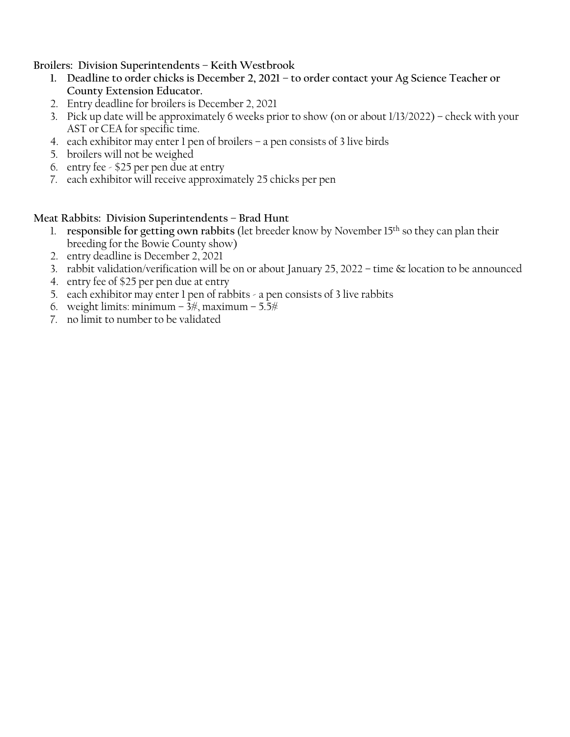#### **Broilers: Division Superintendents – Keith Westbrook**

- **1. Deadline to order chicks is December 2, 2021 – to order contact your Ag Science Teacher or County Extension Educator.**
- 2. Entry deadline for broilers is December 2, 2021
- 3. Pick up date will be approximately 6 weeks prior to show (on or about 1/13/2022) check with your AST or CEA for specific time.
- 4. each exhibitor may enter 1 pen of broilers a pen consists of 3 live birds
- 5. broilers will not be weighed
- 6. entry fee \$25 per pen due at entry
- 7. each exhibitor will receive approximately 25 chicks per pen

#### **Meat Rabbits: Division Superintendents – Brad Hunt**

- 1. **responsible for getting own rabbits** (let breeder know by November 15th so they can plan their breeding for the Bowie County show)
- 2. entry deadline is December 2, 2021
- 3. rabbit validation/verification will be on or about January 25, 2022 time & location to be announced
- 4. entry fee of \$25 per pen due at entry
- 5. each exhibitor may enter 1 pen of rabbits a pen consists of 3 live rabbits
- 6. weight limits: minimum  $3\frac{4}{3}$ , maximum  $5.5\frac{4}{3}$
- 7. no limit to number to be validated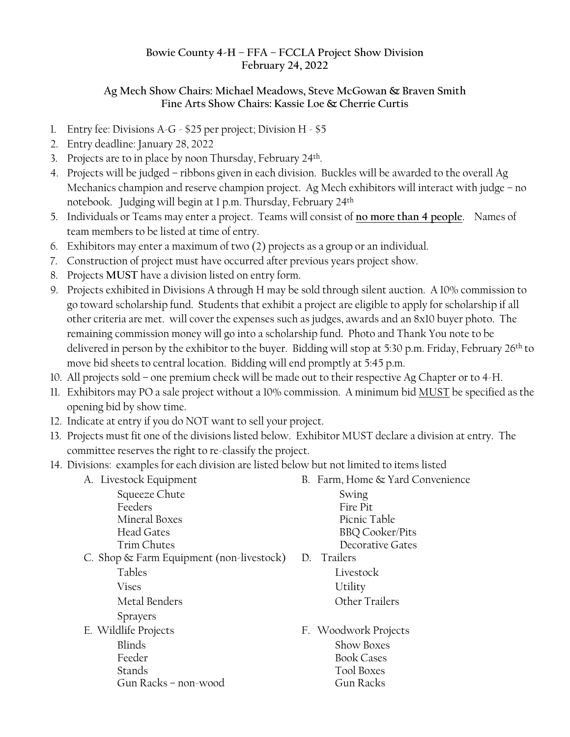#### **Bowie County 4-H – FFA – FCCLA Project Show Division February 24, 2022**

#### **Ag Mech Show Chairs: Michael Meadows, Steve McGowan & Braven Smith Fine Arts Show Chairs: Kassie Loe & Cherrie Curtis**

- 1. Entry fee: Divisions A-G \$25 per project; Division H \$5
- 2. Entry deadline: January 28, 2022
- 3. Projects are to in place by noon Thursday, February 24<sup>th</sup>.
- 4. Projects will be judged ribbons given in each division. Buckles will be awarded to the overall Ag Mechanics champion and reserve champion project. Ag Mech exhibitors will interact with judge – no notebook. Judging will begin at 1 p.m. Thursday, February 24 th
- 5. Individuals or Teams may enter a project. Teams will consist of **no more than 4 people**. Names of team members to be listed at time of entry.
- 6. Exhibitors may enter a maximum of two (2) projects as a group or an individual.
- 7. Construction of project must have occurred after previous years project show.
- 8. Projects **MUST** have a division listed on entry form.
- 9. Projects exhibited in Divisions A through H may be sold through silent auction. A 10% commission to go toward scholarship fund. Students that exhibit a project are eligible to apply for scholarship if all other criteria are met. will cover the expenses such as judges, awards and an 8x10 buyer photo. The remaining commission money will go into a scholarship fund. Photo and Thank You note to be delivered in person by the exhibitor to the buyer. Bidding will stop at 5:30 p.m. Friday, February 26<sup>th</sup> to move bid sheets to central location. Bidding will end promptly at 5:45 p.m.
- 10. All projects sold one premium check will be made out to their respective Ag Chapter or to 4-H.
- 11. Exhibitors may PO a sale project without a 10% commission. A minimum bid MUST be specified as the opening bid by show time.
- 12. Indicate at entry if you do NOT want to sell your project.
- 13. Projects must fit one of the divisions listed below. Exhibitor MUST declare a division at entry. The committee reserves the right to re-classify the project.
- 14. Divisions: examples for each division are listed below but not limited to items listed
	- A. Livestock Equipment B. Farm, Home & Yard Convenience Squeeze Chute Swing Feeders Fire Pit Mineral Boxes Picnic Table Head Gates BBQ Cooker/Pits Trim Chutes **Decorative Gates** C. Shop & Farm Equipment (non-livestock) D. Trailers Tables Livestock Vises Utility Metal Benders **CELL COMENTIAL SERVICES** Other Trailers Sprayers E. Wildlife Projects F. Woodwork Projects Blinds Show Boxes Feeder Book Cases Stands Tool Boxes Gun Racks – non-wood Gun Racks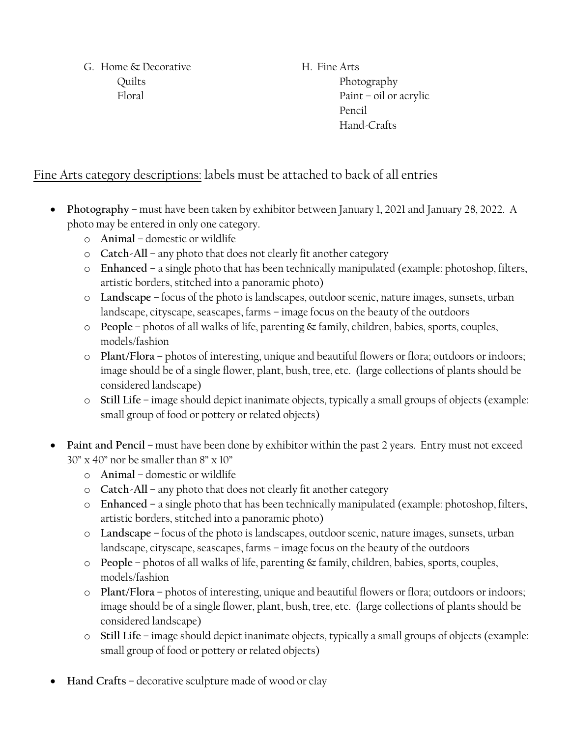G. Home & Decorative H. Fine Arts Quilts Photography

Floral Paint – oil or acrylic Pencil Hand-Crafts

## Fine Arts category descriptions: labels must be attached to back of all entries

- **Photography** must have been taken by exhibitor between January 1, 2021 and January 28, 2022. A photo may be entered in only one category.
	- o **Animal** domestic or wildlife
	- o **Catch-All** any photo that does not clearly fit another category
	- o **Enhanced** a single photo that has been technically manipulated (example: photoshop, filters, artistic borders, stitched into a panoramic photo)
	- o **Landscape** focus of the photo is landscapes, outdoor scenic, nature images, sunsets, urban landscape, cityscape, seascapes, farms – image focus on the beauty of the outdoors
	- o **People** photos of all walks of life, parenting & family, children, babies, sports, couples, models/fashion
	- o **Plant/Flora** photos of interesting, unique and beautiful flowers or flora; outdoors or indoors; image should be of a single flower, plant, bush, tree, etc. (large collections of plants should be considered landscape)
	- o **Still Life** image should depict inanimate objects, typically a small groups of objects (example: small group of food or pottery or related objects)
- **Paint and Pencil** must have been done by exhibitor within the past 2 years. Entry must not exceed 30" x 40" nor be smaller than 8" x 10"
	- o **Animal** domestic or wildlife
	- o **Catch-All** any photo that does not clearly fit another category
	- o **Enhanced** a single photo that has been technically manipulated (example: photoshop, filters, artistic borders, stitched into a panoramic photo)
	- o **Landscape** focus of the photo is landscapes, outdoor scenic, nature images, sunsets, urban landscape, cityscape, seascapes, farms – image focus on the beauty of the outdoors
	- o **People** photos of all walks of life, parenting & family, children, babies, sports, couples, models/fashion
	- o **Plant/Flora** photos of interesting, unique and beautiful flowers or flora; outdoors or indoors; image should be of a single flower, plant, bush, tree, etc. (large collections of plants should be considered landscape)
	- o **Still Life** image should depict inanimate objects, typically a small groups of objects (example: small group of food or pottery or related objects)
- **Hand Crafts** decorative sculpture made of wood or clay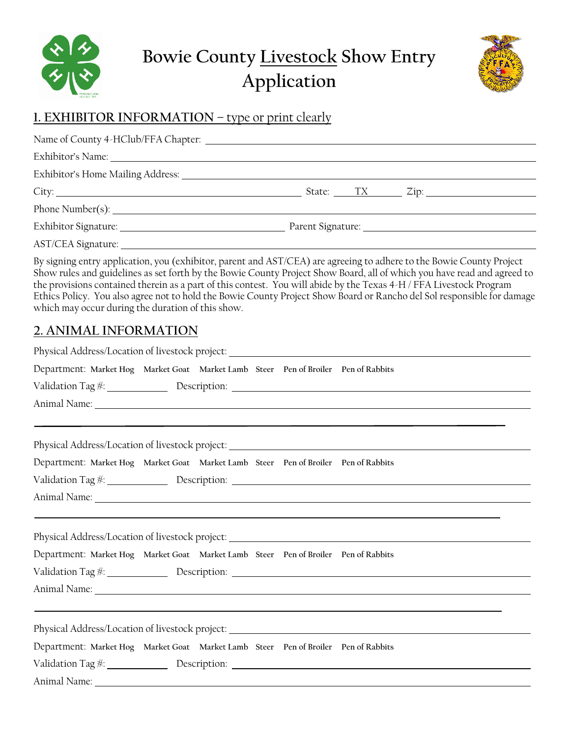



## **1. EXHIBITOR INFORMATION – type or print clearly**

| Exhibitor's Home Mailing Address: National Accounts and Accounts and Accounts and Accounts and Accounts and Accounts and Accounts are also as a set of the Accounts and Accounts are also as a set of the Accounts and Account |                                                                                                                                                                                                                                                                                                             |
|--------------------------------------------------------------------------------------------------------------------------------------------------------------------------------------------------------------------------------|-------------------------------------------------------------------------------------------------------------------------------------------------------------------------------------------------------------------------------------------------------------------------------------------------------------|
|                                                                                                                                                                                                                                |                                                                                                                                                                                                                                                                                                             |
|                                                                                                                                                                                                                                |                                                                                                                                                                                                                                                                                                             |
|                                                                                                                                                                                                                                |                                                                                                                                                                                                                                                                                                             |
|                                                                                                                                                                                                                                |                                                                                                                                                                                                                                                                                                             |
|                                                                                                                                                                                                                                | $\mathbf{r}$ , $\mathbf{r}$ , $\mathbf{r}$ , $\mathbf{r}$ , $\mathbf{r}$ , $\mathbf{r}$ , $\mathbf{r}$ , $\mathbf{r}$ , $\mathbf{r}$ , $\mathbf{r}$ , $\mathbf{r}$ , $\mathbf{r}$ , $\mathbf{r}$ , $\mathbf{r}$ , $\mathbf{r}$ , $\mathbf{r}$ , $\mathbf{r}$ , $\mathbf{r}$ , $\mathbf{r}$ , $\mathbf{r}$ , |

By signing entry application, you (exhibitor, parent and AST/CEA) are agreeing to adhere to the Bowie County Project Show rules and guidelines as set forth by the Bowie County Project Show Board, all of which you have read and agreed to the provisions contained therein as a part of this contest. You will abide by the Texas 4-H / FFA Livestock Program Ethics Policy. You also agree not to hold the Bowie County Project Show Board or Rancho del Sol responsible for damage which may occur during the duration of this show.

## **2. ANIMAL INFORMATION**

| Physical Address/Location of livestock project: _________________________________                                                                                                                                              |  |  |                                                                                                                                                                                                                                    |
|--------------------------------------------------------------------------------------------------------------------------------------------------------------------------------------------------------------------------------|--|--|------------------------------------------------------------------------------------------------------------------------------------------------------------------------------------------------------------------------------------|
| Department: Market Hog Market Goat Market Lamb Steer Pen of Broiler Pen of Rabbits                                                                                                                                             |  |  |                                                                                                                                                                                                                                    |
|                                                                                                                                                                                                                                |  |  | Validation Tag #: 1990 Description: 2008 Description: 2008 Description: 2008 Description: 2008 Description: 2008 Description: 2008 Description: 2008 Description: 2008 Description: 2008 Description: 2008 Description: 2008 D     |
| Animal Name: 1988. The Common Section 2014 19:30:00 Animal Name: 1988. The Common Section 2014.                                                                                                                                |  |  |                                                                                                                                                                                                                                    |
|                                                                                                                                                                                                                                |  |  |                                                                                                                                                                                                                                    |
|                                                                                                                                                                                                                                |  |  |                                                                                                                                                                                                                                    |
| Department: Market Hog Market Goat Market Lamb Steer Pen of Broiler Pen of Rabbits                                                                                                                                             |  |  |                                                                                                                                                                                                                                    |
|                                                                                                                                                                                                                                |  |  | Validation Tag #: 1988 Description: 2008 1998 Description: 2008 1999 Description:                                                                                                                                                  |
| Animal Name: 1988. The Contract of the Contract of the Contract of the Contract of the Contract of the Contract of the Contract of the Contract of the Contract of the Contract of the Contract of the Contract of the Contrac |  |  |                                                                                                                                                                                                                                    |
|                                                                                                                                                                                                                                |  |  |                                                                                                                                                                                                                                    |
|                                                                                                                                                                                                                                |  |  | Physical Address/Location of livestock project: _________________________________                                                                                                                                                  |
| Department: Market Hog Market Goat Market Lamb Steer Pen of Broiler Pen of Rabbits                                                                                                                                             |  |  |                                                                                                                                                                                                                                    |
|                                                                                                                                                                                                                                |  |  |                                                                                                                                                                                                                                    |
|                                                                                                                                                                                                                                |  |  | Animal Name: <u>New York: Animal Name:</u> New York: New York: New York: New York: New York: New York: New York: New York: New York: New York: New York: New York: New York: New York: New York: New York: New York: New York: New |
|                                                                                                                                                                                                                                |  |  |                                                                                                                                                                                                                                    |
|                                                                                                                                                                                                                                |  |  | Physical Address/Location of livestock project: _________________________________                                                                                                                                                  |
| Department: Market Hog Market Goat Market Lamb Steer Pen of Broiler Pen of Rabbits                                                                                                                                             |  |  |                                                                                                                                                                                                                                    |
|                                                                                                                                                                                                                                |  |  |                                                                                                                                                                                                                                    |
|                                                                                                                                                                                                                                |  |  |                                                                                                                                                                                                                                    |
|                                                                                                                                                                                                                                |  |  |                                                                                                                                                                                                                                    |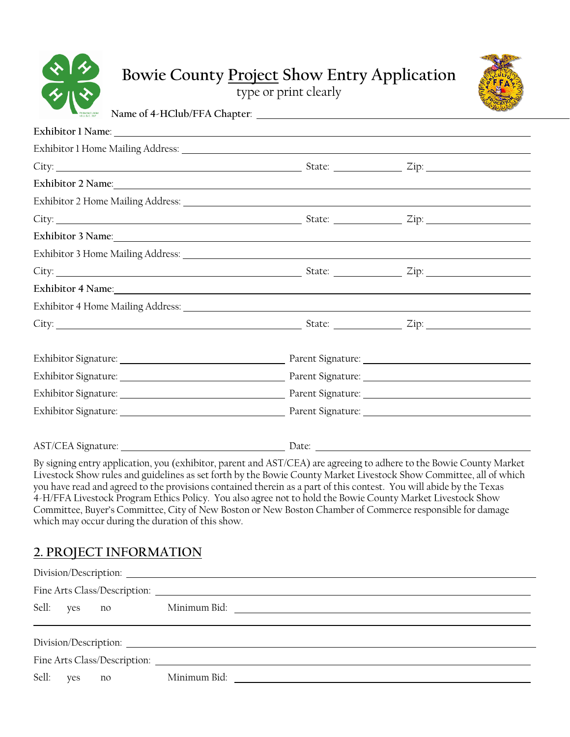| Protected Under<br>18 U.S.C. 707 |  |
|----------------------------------|--|

# **Bowie County Project Show Entry Application**

type or print clearly



| Name of 4-HClub/FFA Chapter:                                                                                                                                                                                                   |  |  |
|--------------------------------------------------------------------------------------------------------------------------------------------------------------------------------------------------------------------------------|--|--|
| Exhibitor 1 Name: 1 and 1 Name: 1 and 1 and 1 and 1 and 1 and 1 and 1 and 1 and 1 and 1 and 1 and 1 and 1 and 1 and 1 and 1 and 1 and 1 and 1 and 1 and 1 and 1 and 1 and 1 and 1 and 1 and 1 and 1 and 1 and 1 and 1 and 1 an |  |  |
|                                                                                                                                                                                                                                |  |  |
|                                                                                                                                                                                                                                |  |  |
|                                                                                                                                                                                                                                |  |  |
|                                                                                                                                                                                                                                |  |  |
|                                                                                                                                                                                                                                |  |  |
|                                                                                                                                                                                                                                |  |  |
|                                                                                                                                                                                                                                |  |  |
|                                                                                                                                                                                                                                |  |  |
| Exhibitor 4 Name: 1988. The contract of the contract of the contract of the contract of the contract of the contract of the contract of the contract of the contract of the contract of the contract of the contract of the co |  |  |
|                                                                                                                                                                                                                                |  |  |
|                                                                                                                                                                                                                                |  |  |
|                                                                                                                                                                                                                                |  |  |
|                                                                                                                                                                                                                                |  |  |
|                                                                                                                                                                                                                                |  |  |
|                                                                                                                                                                                                                                |  |  |
|                                                                                                                                                                                                                                |  |  |
| By signing entry application you (exhibitor parent and AST/CEA) are agreeing to adhere to the Rowie County Market                                                                                                              |  |  |

By signing entry application, you (exhibitor, parent and AST/CEA) are agreeing to adhere to the Bowie County Market Livestock Show rules and guidelines as set forth by the Bowie County Market Livestock Show Committee, all of which you have read and agreed to the provisions contained therein as a part of this contest. You will abide by the Texas 4-H/FFA Livestock Program Ethics Policy. You also agree not to hold the Bowie County Market Livestock Show Committee, Buyer's Committee, City of New Boston or New Boston Chamber of Commerce responsible for damage which may occur during the duration of this show.

### **2. PROJECT INFORMATION**

|  | Sell: yes no |  |  |  |
|--|--------------|--|--|--|
|  |              |  |  |  |
|  |              |  |  |  |
|  |              |  |  |  |
|  |              |  |  |  |